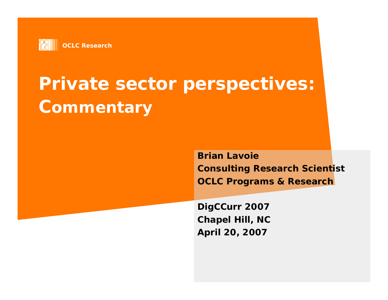

# **Private sector perspectives: Commentary**

**Brian LavoieConsulting Research Scientist OCLC Programs & Research**

**DigCCurr 2007 Chapel Hill, NC April 20, 2007**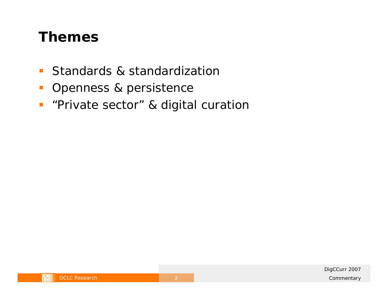#### **Themes**

- $\mathbb{Z}^{\mathbb{Z}}$  . Standards & standardization
- $\mathbb{R}^3$ Openness & persistence
- **"Private sector" & digital curation**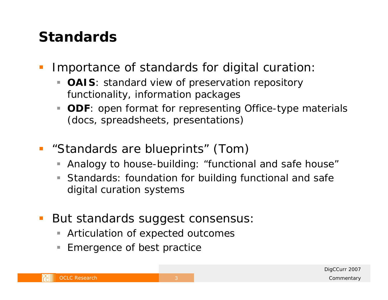### **Standards**

- $\mathbb{R}^n$  Importance of standards for digital curation:
	- $\Box$  **OAIS**: standard view of preservation repository functionality, information packages
	- $\blacksquare$ **ODF**: open format for representing Office-type materials (docs, spreadsheets, presentations)
- "Standards are blueprints" (Tom)
	- П Analogy to house-building: "functional and safe house"
	- $\Box$  Standards: foundation for building functional and safe digital curation systems
- But standards suggest consensus:
	- $\overline{\phantom{a}}$ Articulation of expected outcomes
	- $\Box$ Emergence of best practice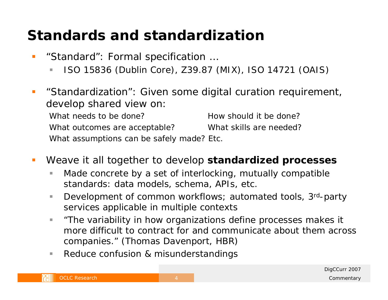# **Standards and standardization**

- **Service Service**  "Standard": Formal specification …
	- п ISO 15836 (Dublin Core), Z39.87 (MIX), ISO 14721 (OAIS)
- $\mathcal{L}^{\text{max}}_{\text{max}}$  "Standardization": Given some digital curation requirement, develop shared view on: What needs to be done? How should it be done? What outcomes are acceptable? What skills are needed? What assumptions can be safely made? Etc.
- Ŧ Weave it all together to develop **standardized processes**
	- ×. Made concrete by a set of interlocking, mutually compatible standards: data models, schema, APIs, etc.
	- $\mathbb{R}^n$ Development of common workflows; automated tools, 3<sup>rd</sup>-party services applicable in multiple contexts
	- ш *"The variability in how organizations define processes makes it more difficult to contract for and communicate about them across companies."* (Thomas Davenport, HBR)
	- ш Reduce confusion & misunderstandings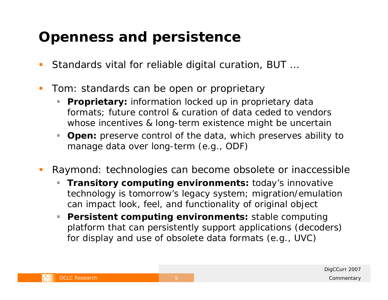## **Openness and persistence**

- $\overline{\phantom{a}}$ Standards vital for reliable digital curation, BUT …
- $\mathbb{R}^2$  Tom: standards can be open or proprietary
	- Ì. **Proprietary:** information locked up in proprietary data formats; future control & curation of data ceded to vendors whose incentives & long-term existence might be uncertain
	- u, **Open:** preserve control of the data, which preserves ability to manage data over long-term (e.g., ODF)
- $\mathbb{R}^2$  Raymond: technologies can become obsolete or inaccessible
	- L. **Transitory computing environments:** today's innovative technology is tomorrow's legacy system; migration/emulation can impact look, feel, and functionality of original object
	- U, **Persistent computing environments:** stable computing platform that can persistently support applications (decoders) for display and use of obsolete data formats (e.g., UVC)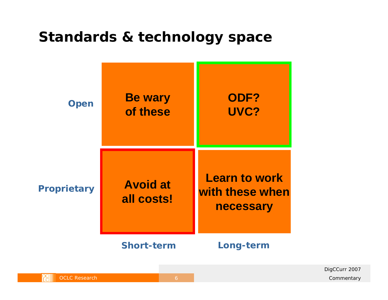#### **Standards & technology space**

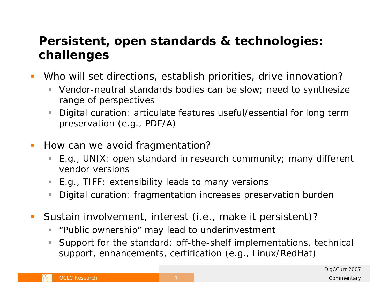#### **Persistent, open standards & technologies: challenges**

- Who will set directions, establish priorities, drive innovation?
	- ш Vendor-neutral standards bodies can be slow; need to synthesize range of perspectives
	- $\overline{\phantom{a}}$  Digital curation: articulate features useful/essential for long term preservation (e.g., PDF/A)
- $\overline{\phantom{a}}$  How can we avoid fragmentation?
	- ▉ E.g., UNIX: open standard in research community; many different vendor versions
	- E.g., TIFF: extensibility leads to many versions
	- $\mathcal{L}_{\mathcal{A}}$ Digital curation: fragmentation increases preservation burden
- $\mathcal{L}_{\mathcal{A}}$  Sustain involvement, interest (i.e., make it persistent)?
	- ш "Public ownership" may lead to underinvestment
	- ×. Support for the standard: off-the-shelf implementations, technical support, enhancements, certification (e.g., Linux/RedHat)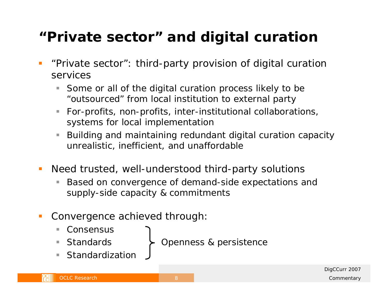## **"Private sector" and digital curation**

- $\mathcal{L}_{\mathcal{A}}$  "Private sector": third-party provision of digital curation services
	- $\blacksquare$  Some or all of the digital curation process likely to be "outsourced" from local institution to external party
	- For-profits, non-profits, inter-institutional collaborations, systems for local implementation
	- Building and maintaining redundant digital curation capacity unrealistic, inefficient, and unaffordable
- $\mathcal{L}_{\mathcal{A}}$  Need trusted, well-understood third-party solutions
	- П Based on convergence of demand-side expectations and supply-side capacity & commitments
- F Convergence achieved through:
	- Consensus
	- $\mathbb{R}^2$ ■ Standards
- Openness & persistence
- **Standardization**